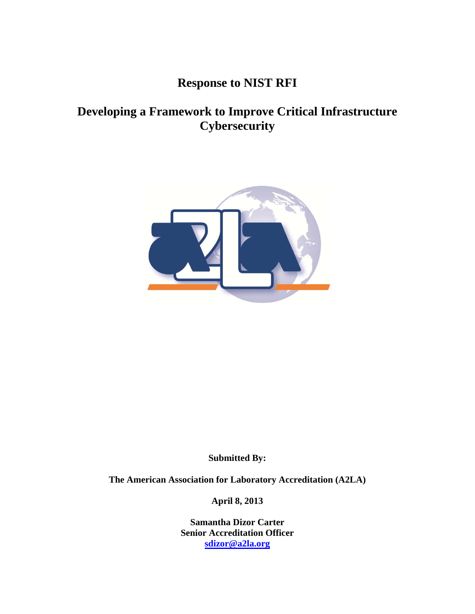# **Response to NIST RFI**

## **Developing a Framework to Improve Critical Infrastructure Cybersecurity**



**Submitted By:** 

**The American Association for Laboratory Accreditation (A2LA)** 

**April 8, 2013** 

**Samantha Dizor Carter Senior Accreditation Officer sdizor@a2la.org**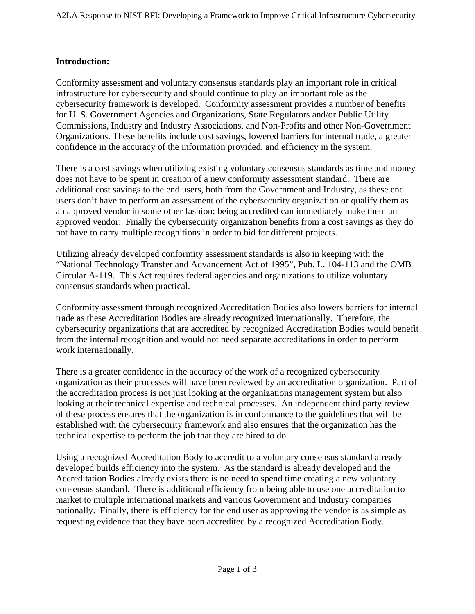### **Introduction:**

Conformity assessment and voluntary consensus standards play an important role in critical infrastructure for cybersecurity and should continue to play an important role as the cybersecurity framework is developed. Conformity assessment provides a number of benefits for U. S. Government Agencies and Organizations, State Regulators and/or Public Utility Commissions, Industry and Industry Associations, and Non-Profits and other Non-Government Organizations. These benefits include cost savings, lowered barriers for internal trade, a greater confidence in the accuracy of the information provided, and efficiency in the system.

There is a cost savings when utilizing existing voluntary consensus standards as time and money does not have to be spent in creation of a new conformity assessment standard. There are additional cost savings to the end users, both from the Government and Industry, as these end users don't have to perform an assessment of the cybersecurity organization or qualify them as an approved vendor in some other fashion; being accredited can immediately make them an approved vendor. Finally the cybersecurity organization benefits from a cost savings as they do not have to carry multiple recognitions in order to bid for different projects.

Utilizing already developed conformity assessment standards is also in keeping with the "National Technology Transfer and Advancement Act of 1995", Pub. L. 104-113 and the OMB Circular A-119. This Act requires federal agencies and organizations to utilize voluntary consensus standards when practical.

Conformity assessment through recognized Accreditation Bodies also lowers barriers for internal trade as these Accreditation Bodies are already recognized internationally. Therefore, the cybersecurity organizations that are accredited by recognized Accreditation Bodies would benefit from the internal recognition and would not need separate accreditations in order to perform work internationally.

There is a greater confidence in the accuracy of the work of a recognized cybersecurity organization as their processes will have been reviewed by an accreditation organization. Part of the accreditation process is not just looking at the organizations management system but also looking at their technical expertise and technical processes. An independent third party review of these process ensures that the organization is in conformance to the guidelines that will be established with the cybersecurity framework and also ensures that the organization has the technical expertise to perform the job that they are hired to do.

Using a recognized Accreditation Body to accredit to a voluntary consensus standard already developed builds efficiency into the system. As the standard is already developed and the Accreditation Bodies already exists there is no need to spend time creating a new voluntary consensus standard. There is additional efficiency from being able to use one accreditation to market to multiple international markets and various Government and Industry companies nationally. Finally, there is efficiency for the end user as approving the vendor is as simple as requesting evidence that they have been accredited by a recognized Accreditation Body.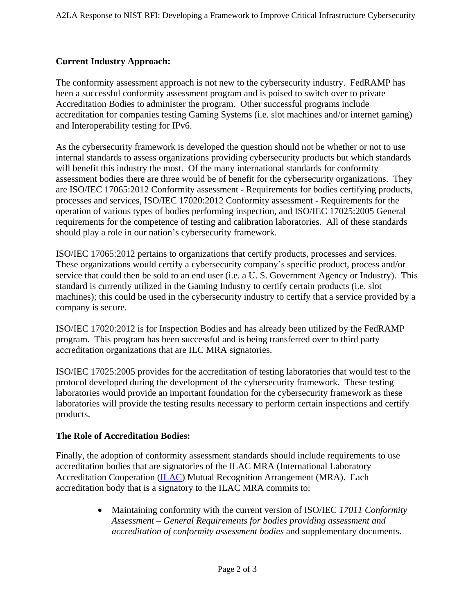## **Current Industry Approach:**

The conformity assessment approach is not new to the cybersecurity industry. FedRAMP has been a successful conformity assessment program and is poised to switch over to private Accreditation Bodies to administer the program. Other successful programs include accreditation for companies testing Gaming Systems (i.e. slot machines and/or internet gaming) and Interoperability testing for IPv6.

As the cybersecurity framework is developed the question should not be whether or not to use internal standards to assess organizations providing cybersecurity products but which standards will benefit this industry the most. Of the many international standards for conformity assessment bodies there are three would be of benefit for the cybersecurity organizations. They are ISO/IEC 17065:2012 Conformity assessment - Requirements for bodies certifying products, processes and services, ISO/IEC 17020:2012 Conformity assessment - Requirements for the operation of various types of bodies performing inspection, and ISO/IEC 17025:2005 General requirements for the competence of testing and calibration laboratories. All of these standards should play a role in our nation's cybersecurity framework.

ISO/IEC 17065:2012 pertains to organizations that certify products, processes and services. These organizations would certify a cybersecurity company's specific product, process and/or service that could then be sold to an end user (i.e. a U. S. Government Agency or Industry). This standard is currently utilized in the Gaming Industry to certify certain products (i.e. slot machines); this could be used in the cybersecurity industry to certify that a service provided by a company is secure.

ISO/IEC 17020:2012 is for Inspection Bodies and has already been utilized by the FedRAMP program. This program has been successful and is being transferred over to third party accreditation organizations that are ILC MRA signatories.

ISO/IEC 17025:2005 provides for the accreditation of testing laboratories that would test to the protocol developed during the development of the cybersecurity framework. These testing laboratories would provide an important foundation for the cybersecurity framework as these laboratories will provide the testing results necessary to perform certain inspections and certify products.

#### **The Role of Accreditation Bodies:**

Finally, the adoption of conformity assessment standards should include requirements to use accreditation bodies that are signatories of the ILAC MRA (International Laboratory Accreditation Cooperation (ILAC) Mutual Recognition Arrangement (MRA). Each accreditation body that is a signatory to the ILAC MRA commits to:

> Maintaining conformity with the current version of ISO/IEC *17011 Conformity Assessment – General Requirements for bodies providing assessment and accreditation of conformity assessment bodies* and supplementary documents.